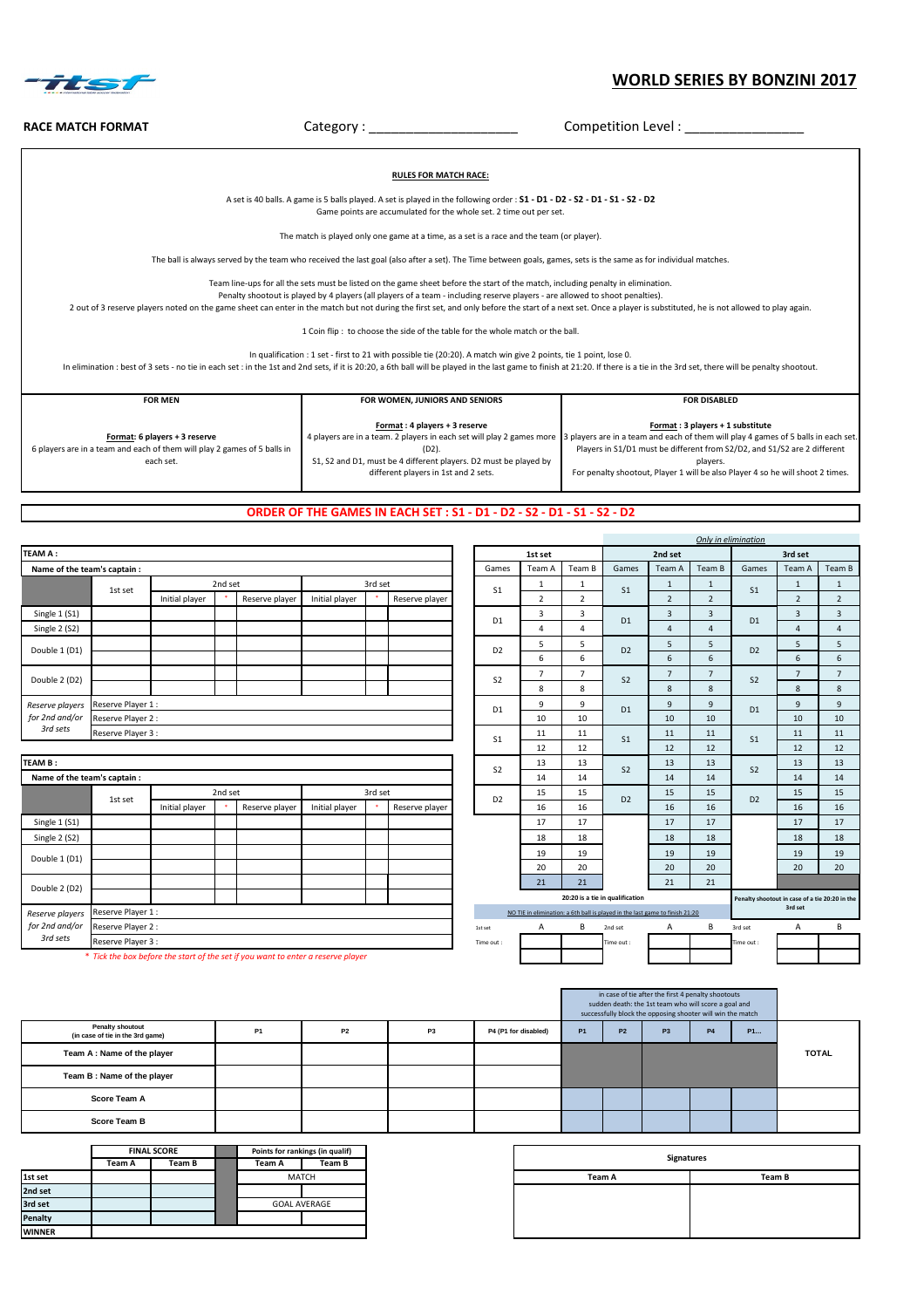\* *Tick the box before the start of the set if you want to enter a reserve player*

### **ORDER OF THE GAMES IN EACH SET : S1 - D1 - D2 - S2 - D1 - S1 - S2 - D2**

|                              |                    |                |         |                |                |         |                |                |       |                                                                                                                                                                                                                                                                                                                                                                                         |                |               |    |                          | Only in elimination |                          |        |
|------------------------------|--------------------|----------------|---------|----------------|----------------|---------|----------------|----------------|-------|-----------------------------------------------------------------------------------------------------------------------------------------------------------------------------------------------------------------------------------------------------------------------------------------------------------------------------------------------------------------------------------------|----------------|---------------|----|--------------------------|---------------------|--------------------------|--------|
| <b>TEAM A:</b>               |                    |                |         |                |                |         |                |                |       | 2nd set<br>1st set<br>Games<br>Team B<br>Team A<br>Team A<br><u>L</u><br>S <sub>1</sub><br>S <sub>1</sub><br>$\overline{2}$<br>$\overline{2}$<br>2<br>3<br>3<br>3<br>D <sub>1</sub><br>D <sub>1</sub><br>4<br>4<br>4<br>5<br>э<br>D <sub>2</sub><br>D <sub>2</sub><br>6<br>6<br>b<br>7<br>$\overline{ }$<br>$\overline{\phantom{a}}$<br>S <sub>2</sub><br>S <sub>2</sub><br>8<br>8<br>8 |                |               |    |                          |                     | 3rd set                  |        |
| Name of the team's captain : |                    |                |         |                |                |         |                |                | Games |                                                                                                                                                                                                                                                                                                                                                                                         |                |               |    | Team B                   | Games               | Team A                   | Team B |
|                              |                    |                | 2nd set |                |                | 3rd set |                |                |       |                                                                                                                                                                                                                                                                                                                                                                                         |                |               |    |                          |                     |                          |        |
|                              | 1st set            | Initial player |         | Reserve player | Initial player |         | Reserve player |                |       |                                                                                                                                                                                                                                                                                                                                                                                         |                |               |    | $\overline{2}$           | S <sub>1</sub>      | $\overline{2}$           |        |
| Single 1 (S1)                |                    |                |         |                |                |         |                |                |       |                                                                                                                                                                                                                                                                                                                                                                                         |                |               |    | 3                        | D <sub>1</sub>      | $\overline{3}$           | 3      |
| Single 2 (S2)                |                    |                |         |                |                |         |                |                |       |                                                                                                                                                                                                                                                                                                                                                                                         |                |               |    | $\overline{4}$           |                     | 4                        | 4      |
| Double 1 (D1)                |                    |                |         |                |                |         |                |                |       |                                                                                                                                                                                                                                                                                                                                                                                         |                |               |    | כ                        | D <sub>2</sub>      | כ                        |        |
|                              |                    |                |         |                |                |         |                |                |       |                                                                                                                                                                                                                                                                                                                                                                                         |                |               |    | 6                        |                     | 6                        | 6      |
| Double 2 (D2)                |                    |                |         |                |                |         |                |                |       |                                                                                                                                                                                                                                                                                                                                                                                         |                |               |    | $\overline{\phantom{a}}$ | S <sub>2</sub>      | $\overline{\phantom{a}}$ |        |
|                              |                    |                |         |                |                |         |                |                |       |                                                                                                                                                                                                                                                                                                                                                                                         |                |               |    | 8                        |                     | 8                        | 8      |
| Reserve players              | Reserve Player 1 : |                |         |                |                |         |                |                |       | 9                                                                                                                                                                                                                                                                                                                                                                                       | 9              |               | 9  | 9                        | D <sub>1</sub>      | 9                        | q      |
| for 2nd and/or               | Reserve Player 2 : |                |         |                |                |         |                | D <sub>1</sub> | 10    | 10                                                                                                                                                                                                                                                                                                                                                                                      | D <sub>1</sub> | 10            | 10 |                          | 10                  | 10                       |        |
| 3rd sets                     | Reserve Player 3 : |                |         |                |                |         |                |                | CA    | 11                                                                                                                                                                                                                                                                                                                                                                                      | 11             | $\sim$ $\sim$ | 11 | 11                       | $\sim$ $\sim$       | 11                       | 11     |

| <b>Signatures</b> |        |
|-------------------|--------|
| Team A            | Team B |
|                   |        |
|                   |        |
|                   |        |
|                   |        |

## **WORLD SERIES BY BONZINI 2017**



**RACE MATCH FORMAT** Category : \_\_\_\_\_\_\_\_\_\_\_\_\_\_\_\_\_\_\_\_ Competition Level : \_\_\_\_\_\_\_\_\_\_\_\_\_\_\_\_ **Format: 6 players + 3 reserve** 6 players are in a team and each of them will play 2 games of 5 balls in each set. **Format : 4 players + 3 reserve** 4 players are in a team. 2 players in each set will play 2 games more 13 players are in a team and each of them will play 4 games of 5 balls in each set. (D2). S1, S2 and D1, must be 4 different players. D2 must be played by different players in 1st and 2 sets. **Format : 3 players + 1 substitute** Players in S1/D1 must be different from S2/D2, and S1/S2 are 2 different players. For penalty shootout, Player 1 will be also Player 4 so he will shoot 2 times. **RULES FOR MATCH RACE:** A set is 40 balls. A game is 5 balls played. A set is played in the following order : **S1 - D1 - D2 - S2 - D1 - S1 - S2 - D2**  Game points are accumulated for the whole set. 2 time out per set. The match is played only one game at a time, as a set is a race and the team (or player). The ball is always served by the team who received the last goal (also after a set). The Time between goals, games, sets is the same as for individual matches. Team line-ups for all the sets must be listed on the game sheet before the start of the match, including penalty in elimination. Penalty shootout is played by 4 players (all players of a team - including reserve players - are allowed to shoot penalties). 2 out of 3 reserve players noted on the game sheet can enter in the match but not during the first set, and only before the start of a next set. Once a player is substituted, he is not allowed to play again. 1 Coin flip : to choose the side of the table for the whole match or the ball. In qualification : 1 set - first to 21 with possible tie (20:20). A match win give 2 points, tie 1 point, lose 0. In elimination : best of 3 sets - no tie in each set : in the 1st and 2nd sets, if it is 20:20, a 6th ball will be played in the last game to finish at 21:20. If there is a tie in the 3rd set, there will be penalty shootou FOR MEN FOR WOMEN, JUNIORS AND SENIORS **FOR MEN** FOR DISABLED

|                |                                                             |                |                |         |                |         | S <sub>1</sub> |    |         | S <sub>1</sub>                                                               |    | $ -$    | S <sub>1</sub>                                 |         |    |
|----------------|-------------------------------------------------------------|----------------|----------------|---------|----------------|---------|----------------|----|---------|------------------------------------------------------------------------------|----|---------|------------------------------------------------|---------|----|
|                |                                                             |                |                |         |                |         |                | 12 | 12      |                                                                              | 12 | 12      |                                                | 12      | 12 |
|                |                                                             |                |                |         |                |         | S <sub>2</sub> | 13 | 13      | S <sub>2</sub>                                                               | 13 | 13      | S <sub>2</sub>                                 | 13      | 13 |
|                |                                                             |                |                |         |                |         |                | 14 | 14      |                                                                              | 14 | 14      |                                                | 14      | 14 |
|                | 2nd set                                                     |                |                | 3rd set |                |         | D <sub>2</sub> | 15 | 15      | D <sub>2</sub>                                                               | 15 | 15      | D <sub>2</sub>                                 | 15      | 15 |
| Initial player |                                                             | Reserve player | Initial player |         | Reserve player |         |                | 16 | 16      |                                                                              | 16 | 16      |                                                | 16      | 16 |
|                |                                                             |                |                |         |                | 17      | 17             |    | 17      | 17                                                                           |    | 17      | 17                                             |         |    |
|                |                                                             |                |                |         |                |         |                | 18 | 18      |                                                                              | 18 | 18      |                                                | 18      | 18 |
|                |                                                             |                |                |         |                |         | 19             | 19 |         | 19                                                                           | 19 |         | 19                                             | 19      |    |
|                |                                                             |                |                |         |                |         |                | 20 | 20      |                                                                              | 20 | 20      |                                                | 20      | 20 |
|                |                                                             |                |                |         |                |         |                | 21 | 21      |                                                                              | 21 | 21      |                                                |         |    |
|                |                                                             |                |                |         |                |         |                |    |         | 20:20 is a tie in qualification                                              |    |         | Penalty shootout in case of a tie 20:20 in the |         |    |
|                |                                                             |                |                |         |                |         |                |    |         | NO TIE in elimination: a 6th ball is played in the last game to finish 21:20 |    |         |                                                | 3rd set |    |
|                |                                                             |                |                |         |                | 1st set | A              | B  | 2nd set | A                                                                            | B  | 3rd set | A                                              | B       |    |
|                |                                                             |                |                |         |                |         | Time out :     |    |         | Time out :                                                                   |    |         | Time out :                                     |         |    |
|                | the start of the set if you want to enter a reserve player. |                |                |         |                |         |                |    |         |                                                                              |    |         |                                                |         |    |

|                              |                |                                                                |                |                |                |         |           |                                  |    |           |                                                                     |    |                                                                              |                                  | <u>12</u>                                                                |
|------------------------------|----------------|----------------------------------------------------------------|----------------|----------------|----------------|---------|-----------|----------------------------------|----|-----------|---------------------------------------------------------------------|----|------------------------------------------------------------------------------|----------------------------------|--------------------------------------------------------------------------|
|                              |                |                                                                |                |                |                |         |           | 13                               | 13 |           | 13                                                                  | 13 |                                                                              | 13                               | 13                                                                       |
| Name of the team's captain : |                |                                                                |                |                |                |         |           | 14                               | 14 |           | 14                                                                  | 14 |                                                                              | 14                               | 14                                                                       |
|                              |                |                                                                |                |                |                |         |           | 15                               | 15 |           | 15                                                                  | 15 |                                                                              | 15                               | 15                                                                       |
|                              | Initial player |                                                                | Reserve player | Initial player | Reserve player |         |           | 16                               | 16 |           | 16                                                                  | 16 |                                                                              | 16                               | 16                                                                       |
|                              |                |                                                                |                |                |                |         |           | 17                               | 17 |           | 17                                                                  | 17 |                                                                              | 17                               | 17                                                                       |
|                              |                |                                                                |                |                |                |         |           | 18                               | 18 |           | 18                                                                  | 18 |                                                                              | 18                               | 18                                                                       |
|                              |                |                                                                |                |                |                |         |           | 19                               | 19 |           | 19                                                                  | 19 |                                                                              | 19                               | 19                                                                       |
|                              |                |                                                                |                |                |                |         |           | 20                               | 20 |           | 20                                                                  | 20 |                                                                              | 20                               | 20                                                                       |
|                              |                |                                                                |                |                |                |         |           | 21                               | 21 |           | 21                                                                  | 21 |                                                                              |                                  |                                                                          |
|                              |                |                                                                |                |                |                |         |           |                                  |    |           |                                                                     |    |                                                                              |                                  |                                                                          |
|                              |                |                                                                |                |                |                |         |           |                                  |    |           |                                                                     |    |                                                                              | 3rd set                          |                                                                          |
|                              |                |                                                                |                |                |                |         | 1st set   | $\mathsf{A}$                     | B  | 2nd set   | $\mathsf{A}$                                                        | B  | 3rd set                                                                      | A                                | B                                                                        |
|                              |                |                                                                |                |                |                |         | Time out: |                                  |    | Time out: |                                                                     |    | Time out:                                                                    |                                  |                                                                          |
|                              | 1st set        | Reserve Player 1 :<br>Reserve Player 2 :<br>Reserve Player 3 : |                | 2nd set        |                | 3rd set |           | S <sub>2</sub><br>D <sub>2</sub> |    |           | S <sub>2</sub><br>D <sub>2</sub><br>20:20 is a tie in qualification |    | NO TIE in elimination: a 6th ball is played in the last game to finish 21:20 | S <sub>2</sub><br>D <sub>2</sub> | 12<br>12<br>12<br>12<br>12<br>Penalty shootout in case of a tie 20:20 in |

|                |        | <b>FINAL SCORE</b> | Points for rankings (in qualif)<br>Team B<br>Team A<br><b>MATCH</b><br><b>GOAL AVERAGE</b> |  |  |  |  |  |  |  |
|----------------|--------|--------------------|--------------------------------------------------------------------------------------------|--|--|--|--|--|--|--|
|                | Team A | Team B             |                                                                                            |  |  |  |  |  |  |  |
| 1st set        |        |                    |                                                                                            |  |  |  |  |  |  |  |
| 2nd set        |        |                    |                                                                                            |  |  |  |  |  |  |  |
| 3rd set        |        |                    |                                                                                            |  |  |  |  |  |  |  |
| Penalty        |        |                    |                                                                                            |  |  |  |  |  |  |  |
| <b>IWINNER</b> |        |                    |                                                                                            |  |  |  |  |  |  |  |

|                                                             |           |           |                | in case of tie after the first 4 penalty shootouts<br>sudden death: the 1st team who will score a goal and<br>successfully block the opposing shooter will win the match |           |                |    |           |           |              |
|-------------------------------------------------------------|-----------|-----------|----------------|--------------------------------------------------------------------------------------------------------------------------------------------------------------------------|-----------|----------------|----|-----------|-----------|--------------|
| <b>Penalty shoutout</b><br>(in case of tie in the 3rd game) | <b>P1</b> | <b>P2</b> | P <sub>3</sub> | P4 (P1 for disabled)                                                                                                                                                     | <b>P1</b> | P <sub>2</sub> | P3 | <b>P4</b> | <b>P1</b> |              |
| Team A : Name of the player                                 |           |           |                |                                                                                                                                                                          |           |                |    |           |           | <b>TOTAL</b> |
| Team B: Name of the player                                  |           |           |                |                                                                                                                                                                          |           |                |    |           |           |              |
| <b>Score Team A</b>                                         |           |           |                |                                                                                                                                                                          |           |                |    |           |           |              |
| <b>Score Team B</b>                                         |           |           |                |                                                                                                                                                                          |           |                |    |           |           |              |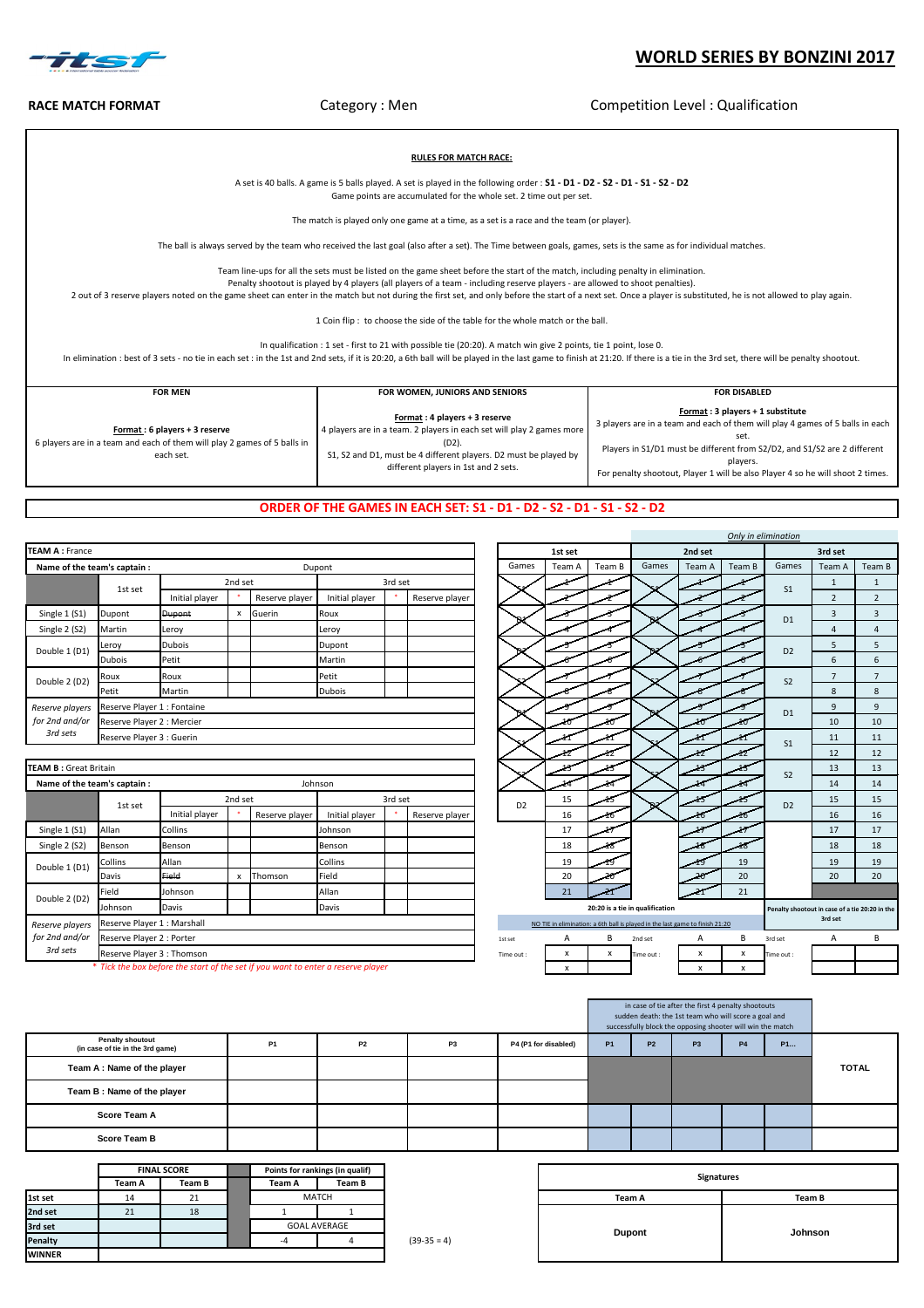| * Tick the box before the start of the set if you want to enter a reserve player |  |  |  |  |  |
|----------------------------------------------------------------------------------|--|--|--|--|--|
|----------------------------------------------------------------------------------|--|--|--|--|--|

|               |        | <b>FINAL SCORE</b> |        | Points for rankings (in qualif) |             |                   |
|---------------|--------|--------------------|--------|---------------------------------|-------------|-------------------|
|               | Team A | <b>Team B</b>      | Team A | <b>Team B</b>                   |             | <b>Signatures</b> |
| 1st set       | 14     | 21                 |        | <b>MATCH</b>                    |             | <b>Team A</b>     |
| 2nd set       | 21     | 18                 |        |                                 |             |                   |
| 3rd set       |        |                    |        | <b>GOAL AVERAGE</b>             |             |                   |
| Penalty       |        |                    | -4     |                                 | $(39-35=4)$ | <b>Dupont</b>     |
| <b>WINNER</b> |        |                    |        |                                 |             |                   |

|              | rankings (in qualif) |             |                   |         |
|--------------|----------------------|-------------|-------------------|---------|
|              | <b>Team B</b>        |             | <b>Signatures</b> |         |
| <b>MATCH</b> |                      |             | <b>Team A</b>     | Team B  |
|              |                      |             |                   |         |
|              | L AVERAGE            |             |                   |         |
|              |                      | $(39-35=4)$ | <b>Dupont</b>     | Johnson |
|              |                      |             |                   |         |

|                                                             |           |           |           |                      |           |           | in case of tie after the first 4 penalty shootouts<br>sudden death: the 1st team who will score a goal and<br>successfully block the opposing shooter will win the match |           |           |              |
|-------------------------------------------------------------|-----------|-----------|-----------|----------------------|-----------|-----------|--------------------------------------------------------------------------------------------------------------------------------------------------------------------------|-----------|-----------|--------------|
| <b>Penalty shoutout</b><br>(in case of tie in the 3rd game) | <b>P1</b> | <b>P2</b> | <b>P3</b> | P4 (P1 for disabled) | <b>P1</b> | <b>P2</b> | P3                                                                                                                                                                       | <b>P4</b> | <b>P1</b> |              |
| Team A: Name of the player                                  |           |           |           |                      |           |           |                                                                                                                                                                          |           |           | <b>TOTAL</b> |
| Team B: Name of the player                                  |           |           |           |                      |           |           |                                                                                                                                                                          |           |           |              |
| <b>Score Team A</b>                                         |           |           |           |                      |           |           |                                                                                                                                                                          |           |           |              |
| <b>Score Team B</b>                                         |           |           |           |                      |           |           |                                                                                                                                                                          |           |           |              |

|                                         |                                                                                |                           |                |                |         |                |                |         |                                 |                                                                              |         | Only in elimination                            |                |                |                |
|-----------------------------------------|--------------------------------------------------------------------------------|---------------------------|----------------|----------------|---------|----------------|----------------|---------|---------------------------------|------------------------------------------------------------------------------|---------|------------------------------------------------|----------------|----------------|----------------|
|                                         |                                                                                |                           |                |                |         |                |                | 1st set |                                 |                                                                              | 2nd set |                                                |                | 3rd set        |                |
| m's captain :                           |                                                                                |                           |                | Dupont         |         |                | Games          | Team A  | Team B                          | Games                                                                        | Team A  | Team B                                         | Games          | Team A         | Team B         |
| 1st set                                 |                                                                                | 2nd set                   |                |                | 3rd set |                |                |         |                                 |                                                                              |         |                                                | S <sub>1</sub> | $\mathbf{1}$   | $\mathbf{1}$   |
|                                         | Initial player                                                                 |                           | Reserve player | Initial player |         | Reserve player |                |         |                                 |                                                                              |         |                                                |                | $\overline{2}$ | $\overline{2}$ |
| Dupont                                  | <b>Dupont</b>                                                                  | $\pmb{\mathsf{x}}$        | Guerin         | Roux           |         |                |                |         |                                 |                                                                              |         |                                                | D <sub>1</sub> | $\overline{3}$ | $\overline{3}$ |
| Martin                                  | Leroy                                                                          |                           |                | Leroy          |         |                |                |         |                                 |                                                                              |         |                                                |                | $\overline{4}$ | $\overline{4}$ |
| Leroy                                   | <b>Dubois</b>                                                                  |                           |                | Dupont         |         |                |                |         |                                 |                                                                              |         |                                                | D <sub>2</sub> | 5              | 5              |
| Dubois                                  | Petit                                                                          |                           |                | Martin         |         |                |                |         |                                 |                                                                              |         |                                                |                | 6              | 6              |
| Roux                                    | Roux                                                                           |                           |                | Petit          |         |                |                |         |                                 |                                                                              |         |                                                | S <sub>2</sub> | $\overline{7}$ | $\overline{7}$ |
| Petit                                   | Martin                                                                         |                           |                |                |         |                |                |         |                                 |                                                                              | $\,8\,$ | $\,8\,$                                        |                |                |                |
| Reserve Player 1 : Fontaine             |                                                                                |                           |                |                |         |                |                |         |                                 | D <sub>1</sub>                                                               | 9       | 9                                              |                |                |                |
| Reserve Player 2 : Mercier              |                                                                                |                           |                |                |         |                |                |         |                                 |                                                                              | 10      | 10                                             |                |                |                |
|                                         | Reserve Player 3 : Guerin                                                      |                           |                |                |         |                |                |         |                                 |                                                                              | ſ1      | n                                              | S <sub>1</sub> | 11             | 11             |
|                                         |                                                                                |                           |                |                |         |                |                |         | 12                              |                                                                              | 12      | 12                                             |                | 12             | 12             |
| tain                                    |                                                                                |                           |                |                |         |                |                |         | 13                              |                                                                              |         | 13                                             | S <sub>2</sub> | 13             | 13             |
| m's captain :                           |                                                                                |                           |                | Johnson        |         |                |                |         |                                 |                                                                              | 14      | 44                                             |                | 14             | 14             |
| 1st set                                 |                                                                                | 2nd set                   |                |                | 3rd set |                | D <sub>2</sub> | 15      | 45                              |                                                                              | 15      | 45                                             | D <sub>2</sub> | 15             | 15             |
|                                         | Initial player                                                                 |                           | Reserve player | Initial player |         | Reserve player |                | 16      | 46                              |                                                                              | 46      | 16                                             |                | 16             | 16             |
| Allan                                   | Collins                                                                        |                           |                | Johnson        |         |                |                | 17      |                                 |                                                                              |         |                                                |                | 17             | 17             |
| Benson                                  | Benson                                                                         |                           |                | Benson         |         |                |                | 18      |                                 |                                                                              | 18      | 18                                             |                | 18             | 18             |
| Collins                                 | Allan                                                                          |                           |                | Collins        |         |                |                | 19      | 19                              |                                                                              | 49      | 19                                             |                | 19             | 19             |
| Davis                                   | Field                                                                          | $\boldsymbol{\mathsf{x}}$ | Thomson        | Field          |         |                |                | 20      |                                 |                                                                              | 20      | 20                                             |                | 20             | 20             |
| Field                                   | Johnson                                                                        |                           |                | Allan          |         |                |                | 21      |                                 |                                                                              |         | 21                                             |                |                |                |
| Johnson<br><b>Davis</b><br><b>Davis</b> |                                                                                |                           |                |                |         |                |                |         | 20:20 is a tie in qualification |                                                                              |         | Penalty shootout in case of a tie 20:20 in the |                |                |                |
| Reserve Player 1 : Marshall             |                                                                                |                           |                |                |         |                |                |         |                                 | NO TIE in elimination: a 6th ball is played in the last game to finish 21:20 |         |                                                |                | 3rd set        |                |
| Reserve Player 2 : Porter               |                                                                                |                           |                |                |         |                | 1st set        | A       | В                               | 2nd set                                                                      | A       | B                                              | 3rd set        | A              | B              |
| Reserve Player 3 : Thomson              |                                                                                |                           |                |                |         |                | Time out:      | X       | $\boldsymbol{\mathsf{x}}$       | Time out:                                                                    | X       | X                                              | Time out :     |                |                |
|                                         | Tick the box before the start of the set if you want to enter a reserve player |                           |                |                | X       |                |                | X       | X                               |                                                                              |         |                                                |                |                |                |

|                              |                             |                |         |                |                |         |                |                | ستعمر        | سدسر | ↘                                                                            | سد | ᄼ  | S <sub>2</sub>                            | ∸       | -- |
|------------------------------|-----------------------------|----------------|---------|----------------|----------------|---------|----------------|----------------|--------------|------|------------------------------------------------------------------------------|----|----|-------------------------------------------|---------|----|
| Name of the team's captain : |                             |                |         |                | Johnson        |         |                |                |              |      |                                                                              |    |    |                                           | 14      | 14 |
|                              | 1st set                     |                | 2nd set |                |                | 3rd set |                | D <sub>2</sub> | 15           |      |                                                                              |    |    | D <sub>2</sub>                            | 15      | 15 |
|                              |                             | Initial player |         | Reserve player | Initial player |         | Reserve player |                | 16           |      |                                                                              |    |    |                                           | 16      | 16 |
| Single 1 (S1)                | Allan                       | Collins        |         |                | Johnson        |         |                |                | 17           |      |                                                                              |    |    |                                           | 17      | 17 |
| Single 2 (S2)                | Benson                      | Benson         |         |                | <b>Benson</b>  |         |                |                | 18           |      |                                                                              |    |    |                                           | 18      | 18 |
| Double 1 (D1)                | Collins                     | Allan          |         |                | Collins        |         |                |                | 19           |      |                                                                              |    | 19 |                                           | 19      | 19 |
|                              | Davis                       | <b>Field</b>   | X       | Thomson        | Field          |         |                |                | 20           |      |                                                                              |    | 20 |                                           | 20      | 2C |
| Double 2 (D2)                | Field                       | Johnson        |         |                | Allan          |         |                |                | 21           |      |                                                                              |    | 21 |                                           |         |    |
|                              | Johnson                     | Davis          |         |                | Davis          |         |                |                |              |      | 20:20 is a tie in qualification                                              |    |    | Penalty shootout in case of a tie 20:20 i |         |    |
| Reserve players              | Reserve Player 1 : Marshall |                |         |                |                |         |                |                |              |      | NO TIE in elimination: a 6th ball is played in the last game to finish 21:20 |    |    |                                           | 3rd set |    |
| for 2nd and/or               | Reserve Player 2 : Porter   |                |         |                |                |         |                | 1st set        | $\mathsf{A}$ | B    | 2nd set                                                                      | A  | B  | 3rd set                                   |         | B  |
| 3rd sets                     | Reserve Player 3 : Thomson  |                |         |                |                |         |                | Time out:      | X            | X    | Time out :                                                                   | X  | X  | Time out :                                |         |    |
|                              |                             |                |         | $\sim$ $\sim$  |                |         |                |                |              |      |                                                                              |    |    |                                           |         |    |

|                              |                             |                            |         |                |                |  |                |  |         |        |        |       |         |        | Only in elimination |                |      |
|------------------------------|-----------------------------|----------------------------|---------|----------------|----------------|--|----------------|--|---------|--------|--------|-------|---------|--------|---------------------|----------------|------|
| <b>TEAM A: France</b>        |                             |                            |         |                |                |  |                |  | 1st set |        |        |       | 2nd set |        | 3rd set             |                |      |
| Name of the team's captain : |                             |                            |         |                | Dupont         |  |                |  | Games   | Team A | Team B | Games | Team A  | Team B | Games               | Team A         | Tear |
|                              |                             |                            | 2nd set |                | 3rd set        |  |                |  |         |        |        |       |         |        |                     |                |      |
|                              | 1st set                     | Initial player             |         | Reserve player | Initial player |  | Reserve player |  |         |        |        |       |         |        | S <sub>1</sub>      | $\overline{2}$ |      |
| Single 1 (S1)                | Dupont                      | <b>Dupont</b>              | X       | Guerin         | Roux           |  |                |  |         |        |        |       |         |        | D <sub>1</sub>      |                |      |
| Single 2 (S2)                | Martin                      | Leroy                      |         |                | Leroy          |  |                |  |         |        |        |       |         |        |                     | 4              |      |
|                              | Leroy                       | <b>Dubois</b>              |         |                | Dupont         |  |                |  |         |        |        |       |         |        | D <sub>2</sub>      |                |      |
| Double 1 (D1)                | <b>Dubois</b>               | Petit                      |         |                | Martin         |  |                |  |         |        |        |       |         |        |                     | 6              |      |
| Double 2 (D2)                | Roux                        | Roux                       |         |                | Petit          |  |                |  |         |        |        |       |         |        | S <sub>2</sub>      |                |      |
|                              | Petit                       | Martin                     |         |                | <b>Dubois</b>  |  |                |  |         |        |        |       |         |        |                     | 8              |      |
| Reserve players              | Reserve Player 1 : Fontaine |                            |         |                |                |  |                |  |         |        |        |       |         |        | D <sub>1</sub>      | 9              |      |
| for 2nd and/or<br>3rd sets   |                             | Reserve Player 2 : Mercier |         |                |                |  |                |  |         |        |        |       | صه      |        |                     | 10             |      |
|                              | Reserve Player 3 : Guerin   |                            |         |                |                |  |                |  |         |        |        |       |         |        |                     | 11             |      |
|                              |                             |                            |         |                |                |  |                |  |         |        | احرد   |       | احرا    | بعد    | S <sub>1</sub>      | 12             |      |

| <b>TEAM B: Great Britain</b> |  |
|------------------------------|--|
| . .<br>.                     |  |



# **WORLD SERIES BY BONZINI 2017**

## **RACE MATCH FORMAT** Category : Men Category : Men Competition Level : Qualification

| <b>RULES FOR MATCH RACE:</b>                                                                                                                                    |                                                                                                                                                                                                                                                                                                                                                                                                                                                                                                                                                                                                                                                                                                                                                                                                                                                                                                                              |  |  |  |  |  |  |  |  |  |
|-----------------------------------------------------------------------------------------------------------------------------------------------------------------|------------------------------------------------------------------------------------------------------------------------------------------------------------------------------------------------------------------------------------------------------------------------------------------------------------------------------------------------------------------------------------------------------------------------------------------------------------------------------------------------------------------------------------------------------------------------------------------------------------------------------------------------------------------------------------------------------------------------------------------------------------------------------------------------------------------------------------------------------------------------------------------------------------------------------|--|--|--|--|--|--|--|--|--|
|                                                                                                                                                                 | A set is 40 balls. A game is 5 balls played. A set is played in the following order : S1 - D1 - D2 - S2 - D1 - S1 - S2 - D2<br>Game points are accumulated for the whole set. 2 time out per set.                                                                                                                                                                                                                                                                                                                                                                                                                                                                                                                                                                                                                                                                                                                            |  |  |  |  |  |  |  |  |  |
| The match is played only one game at a time, as a set is a race and the team (or player).                                                                       |                                                                                                                                                                                                                                                                                                                                                                                                                                                                                                                                                                                                                                                                                                                                                                                                                                                                                                                              |  |  |  |  |  |  |  |  |  |
| The ball is always served by the team who received the last goal (also after a set). The Time between goals, games, sets is the same as for individual matches. |                                                                                                                                                                                                                                                                                                                                                                                                                                                                                                                                                                                                                                                                                                                                                                                                                                                                                                                              |  |  |  |  |  |  |  |  |  |
|                                                                                                                                                                 | Team line-ups for all the sets must be listed on the game sheet before the start of the match, including penalty in elimination.<br>Penalty shootout is played by 4 players (all players of a team - including reserve players - are allowed to shoot penalties).<br>2 out of 3 reserve players noted on the game sheet can enter in the match but not during the first set, and only before the start of a next set. Once a player is substituted, he is not allowed to play again.<br>1 Coin flip: to choose the side of the table for the whole match or the ball.<br>In qualification : 1 set - first to 21 with possible tie (20:20). A match win give 2 points, tie 1 point, lose 0.<br>In elimination : best of 3 sets - no tie in each set : in the 1st and 2nd sets, if it is 20:20, a 6th ball will be played in the last game to finish at 21:20. If there is a tie in the 3rd set, there will be penalty shootou |  |  |  |  |  |  |  |  |  |
| <b>FOR MEN</b><br><b>FOR DISABLED</b><br>FOR WOMEN, JUNIORS AND SENIORS                                                                                         |                                                                                                                                                                                                                                                                                                                                                                                                                                                                                                                                                                                                                                                                                                                                                                                                                                                                                                                              |  |  |  |  |  |  |  |  |  |
| Format: 6 players + 3 reserve<br>6 players are in a team and each of them will play 2 games of 5 balls in<br>each set.                                          | Format: 3 players + 1 substitute<br>3 players are in a team and each of them will play 4 games of 5 balls in each<br>set.<br>Players in S1/D1 must be different from S2/D2, and S1/S2 are 2 different<br>players.<br>For penalty shootout, Player 1 will be also Player 4 so he will shoot 2 times.                                                                                                                                                                                                                                                                                                                                                                                                                                                                                                                                                                                                                          |  |  |  |  |  |  |  |  |  |

## **ORDER OF THE GAMES IN EACH SET: S1 - D1 - D2 - S2 - D1 - S1 - S2 - D2**